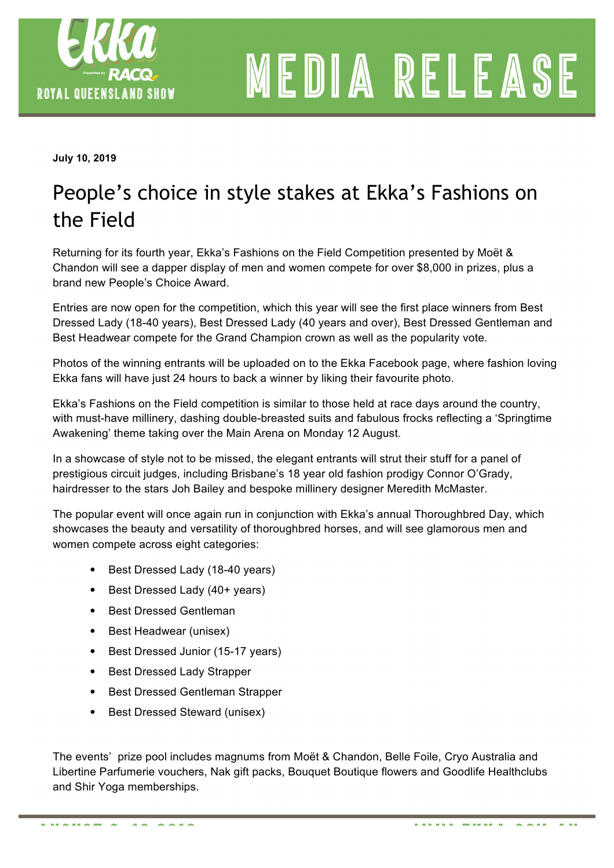

MEDIA RELEASE

**July 10, 2019** 

## People's choice in style stakes at Ekka's Fashions on the Field

Returning for its fourth year, Ekka's Fashions on the Field Competition presented by Moët & Chandon will see a dapper display of men and women compete for over \$8,000 in prizes, plus a brand new People's Choice Award.

Entries are now open for the competition, which this year will see the first place winners from Best Dressed Lady (18-40 years), Best Dressed Lady (40 years and over), Best Dressed Gentleman and Best Headwear compete for the Grand Champion crown as well as the popularity vote.

Photos of the winning entrants will be uploaded on to the Ekka Facebook page, where fashion loving Ekka fans will have just 24 hours to back a winner by liking their favourite photo.

Ekka's Fashions on the Field competition is similar to those held at race days around the country, with must-have millinery, dashing double-breasted suits and fabulous frocks reflecting a 'Springtime' Awakening' theme taking over the Main Arena on Monday 12 August.

In a showcase of style not to be missed, the elegant entrants will strut their stuff for a panel of prestigious circuit judges, including Brisbane's 18 year old fashion prodigy Connor O'Grady, hairdresser to the stars Joh Bailey and bespoke millinery designer Meredith McMaster.

The popular event will once again run in conjunction with Ekka's annual Thoroughbred Day, which showcases the beauty and versatility of thoroughbred horses, and will see glamorous men and women compete across eight categories:

- Best Dressed Lady (18-40 years)
- Best Dressed Lady (40+ years)
- Best Dressed Gentleman
- Best Headwear (unisex)
- Best Dressed Junior (15-17 years)
- Best Dressed Lady Strapper
- Best Dressed Gentleman Strapper
- Best Dressed Steward (unisex)

The events' prize pool includes magnums from Moët & Chandon, Belle Foile, Cryo Australia and Libertine Parfumerie vouchers, Nak gift packs, Bouquet Boutique flowers and Goodlife Healthclubs and Shir Yoga memberships.